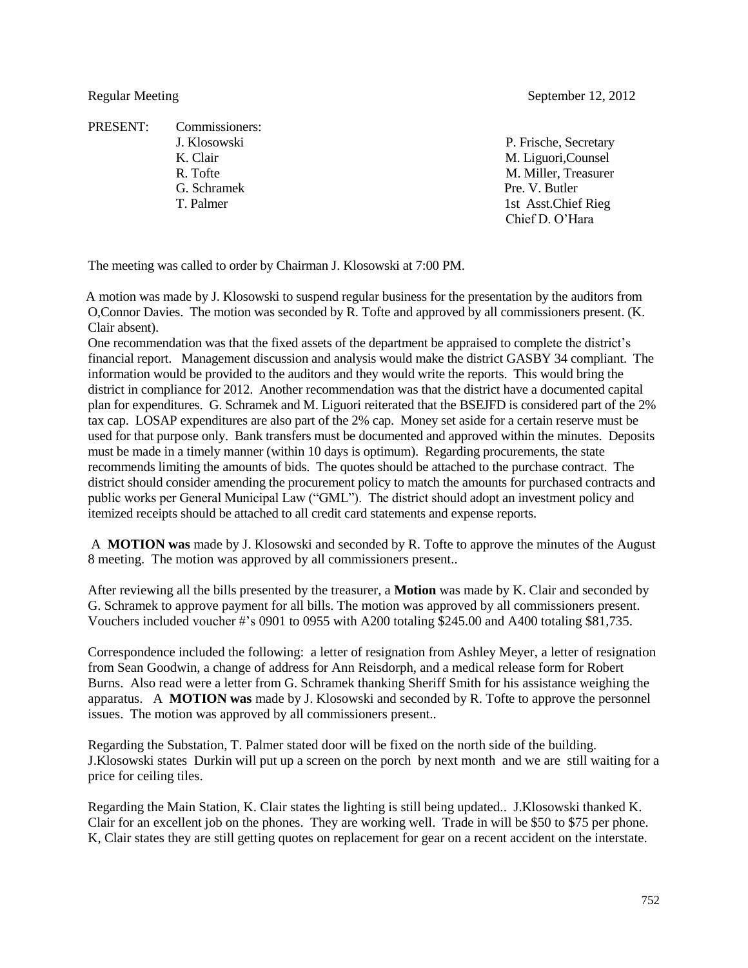PRESENT: Commissioners: G. Schramek Pre. V. Butler

Regular Meeting September 12, 2012

J. Klosowski P. Frische, Secretary K. Clair M. Liguori,Counsel R. Tofte M. Miller, Treasurer T. Palmer 1st Asst.Chief Rieg Chief D. O'Hara

The meeting was called to order by Chairman J. Klosowski at 7:00 PM.

 A motion was made by J. Klosowski to suspend regular business for the presentation by the auditors from O,Connor Davies. The motion was seconded by R. Tofte and approved by all commissioners present. (K. Clair absent).

One recommendation was that the fixed assets of the department be appraised to complete the district's financial report. Management discussion and analysis would make the district GASBY 34 compliant. The information would be provided to the auditors and they would write the reports. This would bring the district in compliance for 2012. Another recommendation was that the district have a documented capital plan for expenditures. G. Schramek and M. Liguori reiterated that the BSEJFD is considered part of the 2% tax cap. LOSAP expenditures are also part of the 2% cap. Money set aside for a certain reserve must be used for that purpose only. Bank transfers must be documented and approved within the minutes. Deposits must be made in a timely manner (within 10 days is optimum). Regarding procurements, the state recommends limiting the amounts of bids. The quotes should be attached to the purchase contract. The district should consider amending the procurement policy to match the amounts for purchased contracts and public works per General Municipal Law ("GML"). The district should adopt an investment policy and itemized receipts should be attached to all credit card statements and expense reports.

A **MOTION was** made by J. Klosowski and seconded by R. Tofte to approve the minutes of the August 8 meeting. The motion was approved by all commissioners present..

After reviewing all the bills presented by the treasurer, a **Motion** was made by K. Clair and seconded by G. Schramek to approve payment for all bills. The motion was approved by all commissioners present. Vouchers included voucher #'s 0901 to 0955 with A200 totaling \$245.00 and A400 totaling \$81,735.

Correspondence included the following: a letter of resignation from Ashley Meyer, a letter of resignation from Sean Goodwin, a change of address for Ann Reisdorph, and a medical release form for Robert Burns. Also read were a letter from G. Schramek thanking Sheriff Smith for his assistance weighing the apparatus. A **MOTION was** made by J. Klosowski and seconded by R. Tofte to approve the personnel issues. The motion was approved by all commissioners present..

Regarding the Substation, T. Palmer stated door will be fixed on the north side of the building. J.Klosowski states Durkin will put up a screen on the porch by next month and we are still waiting for a price for ceiling tiles.

Regarding the Main Station, K. Clair states the lighting is still being updated.. J.Klosowski thanked K. Clair for an excellent job on the phones. They are working well. Trade in will be \$50 to \$75 per phone. K, Clair states they are still getting quotes on replacement for gear on a recent accident on the interstate.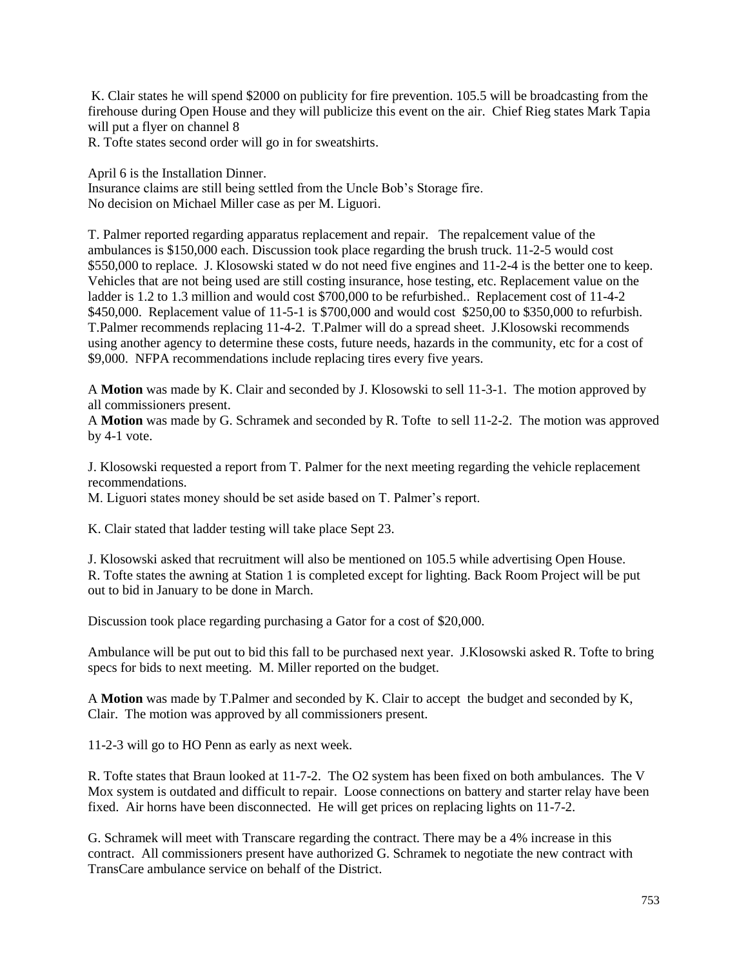K. Clair states he will spend \$2000 on publicity for fire prevention. 105.5 will be broadcasting from the firehouse during Open House and they will publicize this event on the air. Chief Rieg states Mark Tapia will put a flyer on channel 8

R. Tofte states second order will go in for sweatshirts.

April 6 is the Installation Dinner.

Insurance claims are still being settled from the Uncle Bob's Storage fire. No decision on Michael Miller case as per M. Liguori.

T. Palmer reported regarding apparatus replacement and repair. The repalcement value of the ambulances is \$150,000 each. Discussion took place regarding the brush truck. 11-2-5 would cost \$550,000 to replace. J. Klosowski stated w do not need five engines and 11-2-4 is the better one to keep. Vehicles that are not being used are still costing insurance, hose testing, etc. Replacement value on the ladder is 1.2 to 1.3 million and would cost \$700,000 to be refurbished.. Replacement cost of 11-4-2 \$450,000. Replacement value of 11-5-1 is \$700,000 and would cost \$250,00 to \$350,000 to refurbish. T.Palmer recommends replacing 11-4-2. T.Palmer will do a spread sheet. J.Klosowski recommends using another agency to determine these costs, future needs, hazards in the community, etc for a cost of \$9,000. NFPA recommendations include replacing tires every five years.

A **Motion** was made by K. Clair and seconded by J. Klosowski to sell 11-3-1. The motion approved by all commissioners present.

A **Motion** was made by G. Schramek and seconded by R. Tofte to sell 11-2-2. The motion was approved by 4-1 vote.

J. Klosowski requested a report from T. Palmer for the next meeting regarding the vehicle replacement recommendations.

M. Liguori states money should be set aside based on T. Palmer's report.

K. Clair stated that ladder testing will take place Sept 23.

J. Klosowski asked that recruitment will also be mentioned on 105.5 while advertising Open House. R. Tofte states the awning at Station 1 is completed except for lighting. Back Room Project will be put out to bid in January to be done in March.

Discussion took place regarding purchasing a Gator for a cost of \$20,000.

Ambulance will be put out to bid this fall to be purchased next year. J.Klosowski asked R. Tofte to bring specs for bids to next meeting. M. Miller reported on the budget.

A **Motion** was made by T.Palmer and seconded by K. Clair to accept the budget and seconded by K, Clair. The motion was approved by all commissioners present.

11-2-3 will go to HO Penn as early as next week.

R. Tofte states that Braun looked at 11-7-2. The O2 system has been fixed on both ambulances. The V Mox system is outdated and difficult to repair. Loose connections on battery and starter relay have been fixed. Air horns have been disconnected. He will get prices on replacing lights on 11-7-2.

G. Schramek will meet with Transcare regarding the contract. There may be a 4% increase in this contract. All commissioners present have authorized G. Schramek to negotiate the new contract with TransCare ambulance service on behalf of the District.